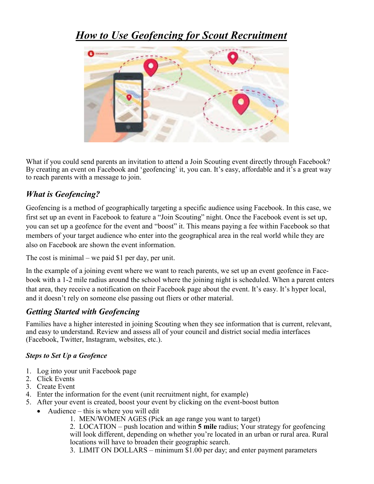# *How to Use Geofencing for Scout Recruitment*



What if you could send parents an invitation to attend a Join Scouting event directly through Facebook? By creating an event on Facebook and 'geofencing' it, you can. It's easy, affordable and it's a great way to reach parents with a message to join.

## *What is Geofencing?*

Geofencing is a method of geographically targeting a specific audience using Facebook. In this case, we first set up an event in Facebook to feature a "Join Scouting" night. Once the Facebook event is set up, you can set up a geofence for the event and "boost" it. This means paying a fee within Facebook so that members of your target audience who enter into the geographical area in the real world while they are also on Facebook are shown the event information.

The cost is minimal – we paid \$1 per day, per unit.

In the example of a joining event where we want to reach parents, we set up an event geofence in Facebook with a 1-2 mile radius around the school where the joining night is scheduled. When a parent enters that area, they receive a notification on their Facebook page about the event. It's easy. It's hyper local, and it doesn't rely on someone else passing out fliers or other material.

## *Getting Started with Geofencing*

Families have a higher interested in joining Scouting when they see information that is current, relevant, and easy to understand. Review and assess all of your council and district social media interfaces (Facebook, Twitter, Instagram, websites, etc.).

#### *Steps to Set Up a Geofence*

- 1. Log into your unit Facebook page
- 2. Click Events
- 3. Create Event
- 4. Enter the information for the event (unit recruitment night, for example)
- 5. After your event is created, boost your event by clicking on the event-boost button
- Audience this is where you will edit
	- 1. MEN/WOMEN AGES (Pick an age range you want to target)

2. LOCATION – push location and within **5 mile** radius; Your strategy for geofencing will look different, depending on whether you're located in an urban or rural area. Rural locations will have to broaden their geographic search.

3. LIMIT ON DOLLARS – minimum \$1.00 per day; and enter payment parameters